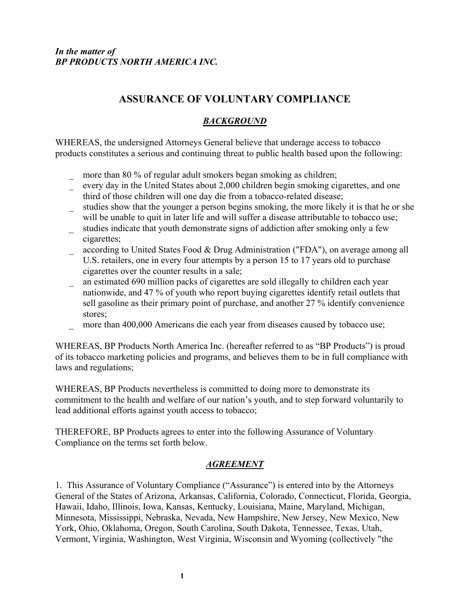# **ASSURANCE OF VOLUNTARY COMPLIANCE**

## *BACKGROUND*

WHEREAS, the undersigned Attorneys General believe that underage access to tobacco products constitutes a serious and continuing threat to public health based upon the following:

- more than 80 % of regular adult smokers began smoking as children;
- every day in the United States about 2,000 children begin smoking cigarettes, and one third of those children will one day die from a tobacco-related disease;
- studies show that the younger a person begins smoking, the more likely it is that he or she will be unable to quit in later life and will suffer a disease attributable to tobacco use;
- \_ studies indicate that youth demonstrate signs of addiction after smoking only a few cigarettes;
- \_ according to United States Food & Drug Administration ("FDA"), on average among all U.S. retailers, one in every four attempts by a person 15 to 17 years old to purchase cigarettes over the counter results in a sale;
- \_ an estimated 690 million packs of cigarettes are sold illegally to children each year nationwide, and 47 % of youth who report buying cigarettes identify retail outlets that sell gasoline as their primary point of purchase, and another 27 % identify convenience stores;
- more than 400,000 Americans die each year from diseases caused by tobacco use;

WHEREAS, BP Products North America Inc. (hereafter referred to as "BP Products") is proud of its tobacco marketing policies and programs, and believes them to be in full compliance with laws and regulations;

WHEREAS, BP Products nevertheless is committed to doing more to demonstrate its commitment to the health and welfare of our nation's youth, and to step forward voluntarily to lead additional efforts against youth access to tobacco;

THEREFORE, BP Products agrees to enter into the following Assurance of Voluntary Compliance on the terms set forth below.

#### *AGREEMENT*

1. This Assurance of Voluntary Compliance ("Assurance") is entered into by the Attorneys General of the States of Arizona, Arkansas, California, Colorado, Connecticut, Florida, Georgia, Hawaii, Idaho, Illinois, Iowa, Kansas, Kentucky, Louisiana, Maine, Maryland, Michigan, Minnesota, Mississippi, Nebraska, Nevada, New Hampshire, New Jersey, New Mexico, New York, Ohio, Oklahoma, Oregon, South Carolina, South Dakota, Tennessee, Texas, Utah, Vermont, Virginia, Washington, West Virginia, Wisconsin and Wyoming (collectively "the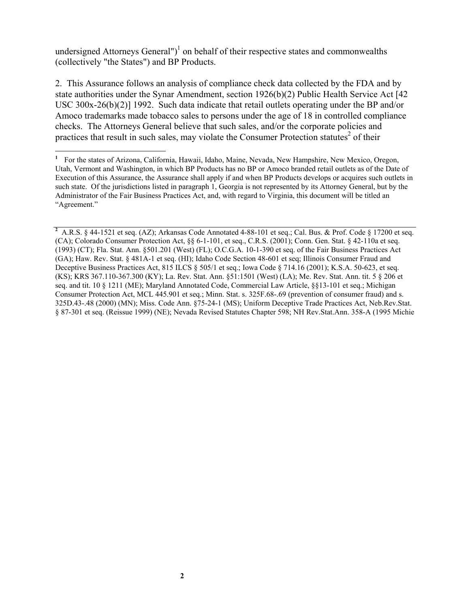undersigned Attorneys General")<sup>[1](#page-1-0)</sup> on behalf of their respective states and commonwealths (collectively "the States") and BP Products.

2. This Assurance follows an analysis of compliance check data collected by the FDA and by state authorities under the Synar Amendment, section 1926(b)(2) Public Health Service Act [42 USC 300x-26(b)(2)] 1992. Such data indicate that retail outlets operating under the BP and/or Amoco trademarks made tobacco sales to persons under the age of 18 in controlled compliance checks. The Attorneys General believe that such sales, and/or the corporate policies and practices that result in such sales, may violate the Consumer Protection statutes<sup>2</sup> of their

 $\overline{a}$ 

<span id="page-1-1"></span>**2** A.R.S. § 44-1521 et seq. (AZ); Arkansas Code Annotated 4-88-101 et seq.; Cal. Bus. & Prof. Code § 17200 et seq. (CA); Colorado Consumer Protection Act, §§ 6-1-101, et seq., C.R.S. (2001); Conn. Gen. Stat. § 42-110a et seq. (1993) (CT); Fla. Stat. Ann. §501.201 (West) (FL); O.C.G.A. 10-1-390 et seq. of the Fair Business Practices Act (GA); Haw. Rev. Stat. § 481A-1 et seq. (HI); Idaho Code Section 48-601 et seq; Illinois Consumer Fraud and Deceptive Business Practices Act, 815 ILCS § 505/1 et seq.; Iowa Code § 714.16 (2001); K.S.A. 50-623, et seq. (KS); KRS 367.110-367.300 (KY); La. Rev. Stat. Ann. §51:1501 (West) (LA); Me. Rev. Stat. Ann. tit. 5 § 206 et seq. and tit. 10 § 1211 (ME); Maryland Annotated Code, Commercial Law Article, §§13-101 et seq.; Michigan Consumer Protection Act, MCL 445.901 et seq.; Minn. Stat. s. 325F.68-.69 (prevention of consumer fraud) and s. 325D.43-.48 (2000) (MN); Miss. Code Ann. §75-24-1 (MS); Uniform Deceptive Trade Practices Act, Neb.Rev.Stat. § 87-301 et seq. (Reissue 1999) (NE); Nevada Revised Statutes Chapter 598; NH Rev.Stat.Ann. 358-A (1995 Michie

<span id="page-1-0"></span>**<sup>1</sup>** For the states of Arizona, California, Hawaii, Idaho, Maine, Nevada, New Hampshire, New Mexico, Oregon, Utah, Vermont and Washington, in which BP Products has no BP or Amoco branded retail outlets as of the Date of Execution of this Assurance, the Assurance shall apply if and when BP Products develops or acquires such outlets in such state. Of the jurisdictions listed in paragraph 1, Georgia is not represented by its Attorney General, but by the Administrator of the Fair Business Practices Act, and, with regard to Virginia, this document will be titled an "Agreement."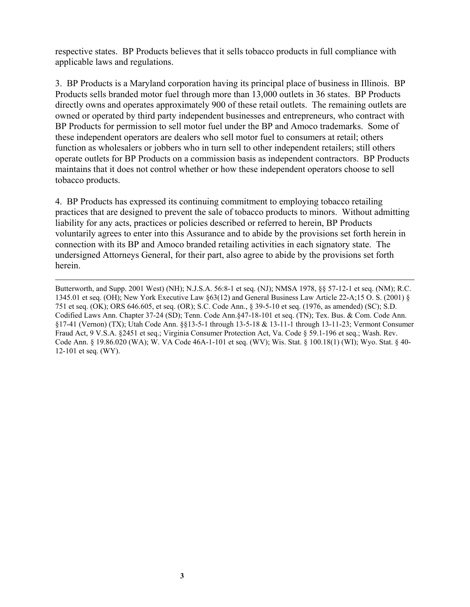respective states. BP Products believes that it sells tobacco products in full compliance with applicable laws and regulations.

3. BP Products is a Maryland corporation having its principal place of business in Illinois. BP Products sells branded motor fuel through more than 13,000 outlets in 36 states. BP Products directly owns and operates approximately 900 of these retail outlets. The remaining outlets are owned or operated by third party independent businesses and entrepreneurs, who contract with BP Products for permission to sell motor fuel under the BP and Amoco trademarks. Some of these independent operators are dealers who sell motor fuel to consumers at retail; others function as wholesalers or jobbers who in turn sell to other independent retailers; still others operate outlets for BP Products on a commission basis as independent contractors. BP Products maintains that it does not control whether or how these independent operators choose to sell tobacco products.

4. BP Products has expressed its continuing commitment to employing tobacco retailing practices that are designed to prevent the sale of tobacco products to minors. Without admitting liability for any acts, practices or policies described or referred to herein, BP Products voluntarily agrees to enter into this Assurance and to abide by the provisions set forth herein in connection with its BP and Amoco branded retailing activities in each signatory state. The undersigned Attorneys General, for their part, also agree to abide by the provisions set forth herein.

 $\overline{a}$ 

Butterworth, and Supp. 2001 West) (NH); N.J.S.A. 56:8-1 et seq. (NJ); NMSA 1978, §§ 57-12-1 et seq. (NM); R.C. 1345.01 et seq. (OH); New York Executive Law §63(12) and General Business Law Article 22-A;15 O. S. (2001) § 751 et seq. (OK); ORS 646.605, et seq. (OR); S.C. Code Ann., § 39-5-10 et seq. (1976, as amended) (SC); S.D. Codified Laws Ann. Chapter 37-24 (SD); Tenn. Code Ann.§47-18-101 et seq. (TN); Tex. Bus. & Com. Code Ann. §17-41 (Vernon) (TX); Utah Code Ann. §§13-5-1 through 13-5-18 & 13-11-1 through 13-11-23; Vermont Consumer Fraud Act, 9 V.S.A. §2451 et seq.; Virginia Consumer Protection Act, Va. Code § 59.1-196 et seq.; Wash. Rev. Code Ann. § 19.86.020 (WA); W. VA Code 46A-1-101 et seq. (WV); Wis. Stat. § 100.18(1) (WI); Wyo. Stat. § 40- 12-101 et seq. (WY).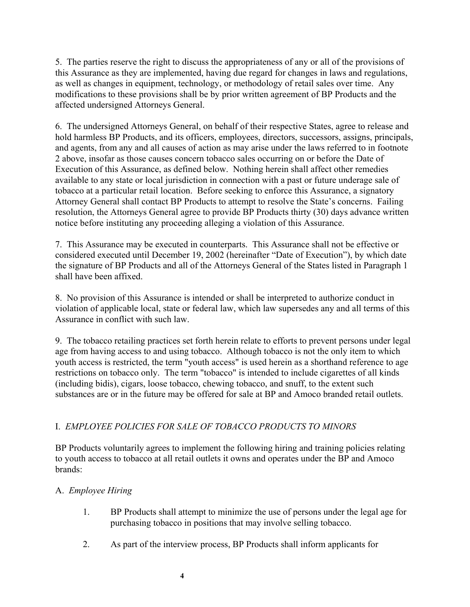5. The parties reserve the right to discuss the appropriateness of any or all of the provisions of this Assurance as they are implemented, having due regard for changes in laws and regulations, as well as changes in equipment, technology, or methodology of retail sales over time. Any modifications to these provisions shall be by prior written agreement of BP Products and the affected undersigned Attorneys General.

6. The undersigned Attorneys General, on behalf of their respective States, agree to release and hold harmless BP Products, and its officers, employees, directors, successors, assigns, principals, and agents, from any and all causes of action as may arise under the laws referred to in footnote 2 above, insofar as those causes concern tobacco sales occurring on or before the Date of Execution of this Assurance, as defined below. Nothing herein shall affect other remedies available to any state or local jurisdiction in connection with a past or future underage sale of tobacco at a particular retail location. Before seeking to enforce this Assurance, a signatory Attorney General shall contact BP Products to attempt to resolve the State's concerns. Failing resolution, the Attorneys General agree to provide BP Products thirty (30) days advance written notice before instituting any proceeding alleging a violation of this Assurance.

7. This Assurance may be executed in counterparts. This Assurance shall not be effective or considered executed until December 19, 2002 (hereinafter "Date of Execution"), by which date the signature of BP Products and all of the Attorneys General of the States listed in Paragraph 1 shall have been affixed.

8. No provision of this Assurance is intended or shall be interpreted to authorize conduct in violation of applicable local, state or federal law, which law supersedes any and all terms of this Assurance in conflict with such law.

9. The tobacco retailing practices set forth herein relate to efforts to prevent persons under legal age from having access to and using tobacco. Although tobacco is not the only item to which youth access is restricted, the term "youth access" is used herein as a shorthand reference to age restrictions on tobacco only. The term "tobacco" is intended to include cigarettes of all kinds (including bidis), cigars, loose tobacco, chewing tobacco, and snuff, to the extent such substances are or in the future may be offered for sale at BP and Amoco branded retail outlets.

#### I. *EMPLOYEE POLICIES FOR SALE OF TOBACCO PRODUCTS TO MINORS*

BP Products voluntarily agrees to implement the following hiring and training policies relating to youth access to tobacco at all retail outlets it owns and operates under the BP and Amoco brands:

#### A. *Employee Hiring*

- 1. BP Products shall attempt to minimize the use of persons under the legal age for purchasing tobacco in positions that may involve selling tobacco.
- 2. As part of the interview process, BP Products shall inform applicants for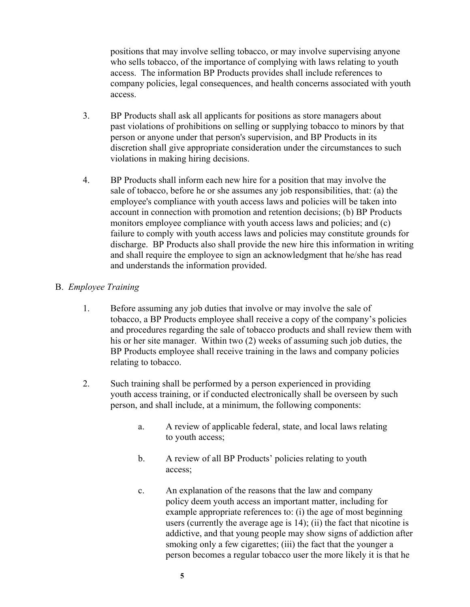positions that may involve selling tobacco, or may involve supervising anyone who sells tobacco, of the importance of complying with laws relating to youth access. The information BP Products provides shall include references to company policies, legal consequences, and health concerns associated with youth access.

- 3. BP Products shall ask all applicants for positions as store managers about past violations of prohibitions on selling or supplying tobacco to minors by that person or anyone under that person's supervision, and BP Products in its discretion shall give appropriate consideration under the circumstances to such violations in making hiring decisions.
- 4. BP Products shall inform each new hire for a position that may involve the sale of tobacco, before he or she assumes any job responsibilities, that: (a) the employee's compliance with youth access laws and policies will be taken into account in connection with promotion and retention decisions; (b) BP Products monitors employee compliance with youth access laws and policies; and (c) failure to comply with youth access laws and policies may constitute grounds for discharge. BP Products also shall provide the new hire this information in writing and shall require the employee to sign an acknowledgment that he/she has read and understands the information provided.

#### B. *Employee Training*

- 1. Before assuming any job duties that involve or may involve the sale of tobacco, a BP Products employee shall receive a copy of the company's policies and procedures regarding the sale of tobacco products and shall review them with his or her site manager. Within two (2) weeks of assuming such job duties, the BP Products employee shall receive training in the laws and company policies relating to tobacco.
- 2. Such training shall be performed by a person experienced in providing youth access training, or if conducted electronically shall be overseen by such person, and shall include, at a minimum, the following components:
	- a. A review of applicable federal, state, and local laws relating to youth access;
	- b. A review of all BP Products' policies relating to youth access;
	- c. An explanation of the reasons that the law and company policy deem youth access an important matter, including for example appropriate references to: (i) the age of most beginning users (currently the average age is 14); (ii) the fact that nicotine is addictive, and that young people may show signs of addiction after smoking only a few cigarettes; (iii) the fact that the younger a person becomes a regular tobacco user the more likely it is that he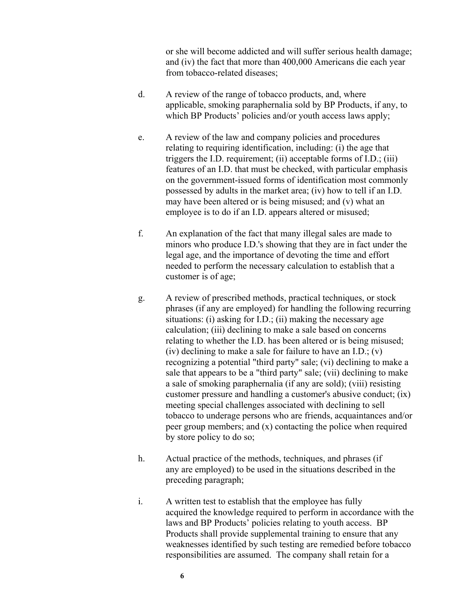or she will become addicted and will suffer serious health damage; and (iv) the fact that more than 400,000 Americans die each year from tobacco-related diseases;

- d. A review of the range of tobacco products, and, where applicable, smoking paraphernalia sold by BP Products, if any, to which BP Products' policies and/or youth access laws apply;
- e. A review of the law and company policies and procedures relating to requiring identification, including: (i) the age that triggers the I.D. requirement; (ii) acceptable forms of I.D.; (iii) features of an I.D. that must be checked, with particular emphasis on the government-issued forms of identification most commonly possessed by adults in the market area; (iv) how to tell if an I.D. may have been altered or is being misused; and (v) what an employee is to do if an I.D. appears altered or misused;
- f. An explanation of the fact that many illegal sales are made to minors who produce I.D.'s showing that they are in fact under the legal age, and the importance of devoting the time and effort needed to perform the necessary calculation to establish that a customer is of age;
- g. A review of prescribed methods, practical techniques, or stock phrases (if any are employed) for handling the following recurring situations: (i) asking for I.D.; (ii) making the necessary age calculation; (iii) declining to make a sale based on concerns relating to whether the I.D. has been altered or is being misused; (iv) declining to make a sale for failure to have an I.D.; (v) recognizing a potential "third party" sale; (vi) declining to make a sale that appears to be a "third party" sale; (vii) declining to make a sale of smoking paraphernalia (if any are sold); (viii) resisting customer pressure and handling a customer's abusive conduct; (ix) meeting special challenges associated with declining to sell tobacco to underage persons who are friends, acquaintances and/or peer group members; and (x) contacting the police when required by store policy to do so;
- h. Actual practice of the methods, techniques, and phrases (if any are employed) to be used in the situations described in the preceding paragraph;
- i. A written test to establish that the employee has fully acquired the knowledge required to perform in accordance with the laws and BP Products' policies relating to youth access. BP Products shall provide supplemental training to ensure that any weaknesses identified by such testing are remedied before tobacco responsibilities are assumed. The company shall retain for a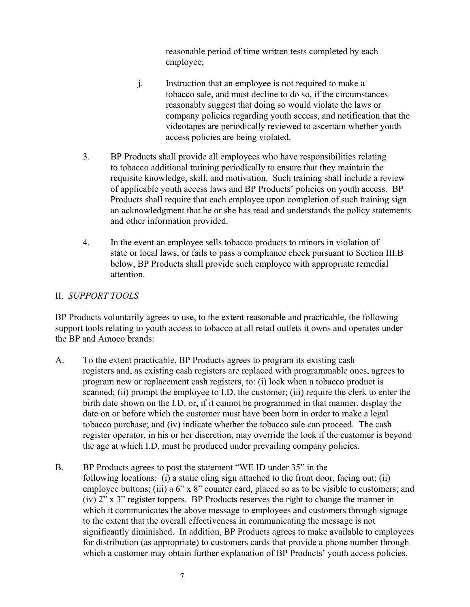reasonable period of time written tests completed by each employee;

- j. Instruction that an employee is not required to make a tobacco sale, and must decline to do so, if the circumstances reasonably suggest that doing so would violate the laws or company policies regarding youth access, and notification that the videotapes are periodically reviewed to ascertain whether youth access policies are being violated.
- 3. BP Products shall provide all employees who have responsibilities relating to tobacco additional training periodically to ensure that they maintain the requisite knowledge, skill, and motivation. Such training shall include a review of applicable youth access laws and BP Products' policies on youth access. BP Products shall require that each employee upon completion of such training sign an acknowledgment that he or she has read and understands the policy statements and other information provided.
- 4. In the event an employee sells tobacco products to minors in violation of state or local laws, or fails to pass a compliance check pursuant to Section III.B below, BP Products shall provide such employee with appropriate remedial attention.

#### II. *SUPPORT TOOLS*

BP Products voluntarily agrees to use, to the extent reasonable and practicable, the following support tools relating to youth access to tobacco at all retail outlets it owns and operates under the BP and Amoco brands:

- A. To the extent practicable, BP Products agrees to program its existing cash registers and, as existing cash registers are replaced with programmable ones, agrees to program new or replacement cash registers, to: (i) lock when a tobacco product is scanned; (ii) prompt the employee to I.D. the customer; (iii) require the clerk to enter the birth date shown on the I.D. or, if it cannot be programmed in that manner, display the date on or before which the customer must have been born in order to make a legal tobacco purchase; and (iv) indicate whether the tobacco sale can proceed. The cash register operator, in his or her discretion, may override the lock if the customer is beyond the age at which I.D. must be produced under prevailing company policies.
- B. BP Products agrees to post the statement "WE ID under 35" in the following locations: (i) a static cling sign attached to the front door, facing out; (ii) employee buttons; (iii) a 6" x 8" counter card, placed so as to be visible to customers; and (iv) 2" x 3" register toppers. BP Products reserves the right to change the manner in which it communicates the above message to employees and customers through signage to the extent that the overall effectiveness in communicating the message is not significantly diminished. In addition, BP Products agrees to make available to employees for distribution (as appropriate) to customers cards that provide a phone number through which a customer may obtain further explanation of BP Products' youth access policies.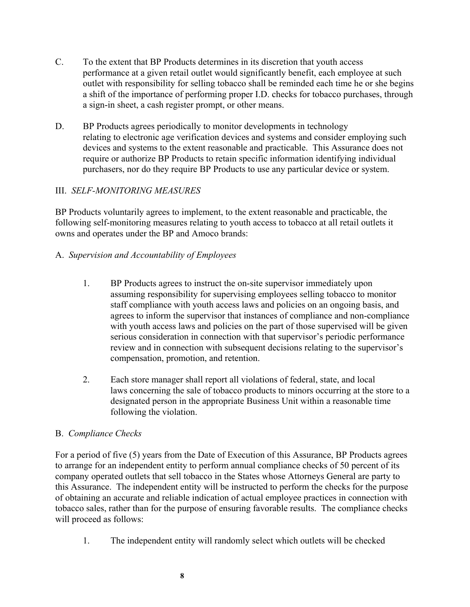- C. To the extent that BP Products determines in its discretion that youth access performance at a given retail outlet would significantly benefit, each employee at such outlet with responsibility for selling tobacco shall be reminded each time he or she begins a shift of the importance of performing proper I.D. checks for tobacco purchases, through a sign-in sheet, a cash register prompt, or other means.
- D. BP Products agrees periodically to monitor developments in technology relating to electronic age verification devices and systems and consider employing such devices and systems to the extent reasonable and practicable. This Assurance does not require or authorize BP Products to retain specific information identifying individual purchasers, nor do they require BP Products to use any particular device or system.

#### III. *SELF-MONITORING MEASURES*

BP Products voluntarily agrees to implement, to the extent reasonable and practicable, the following self-monitoring measures relating to youth access to tobacco at all retail outlets it owns and operates under the BP and Amoco brands:

## A. *Supervision and Accountability of Employees*

- 1. BP Products agrees to instruct the on-site supervisor immediately upon assuming responsibility for supervising employees selling tobacco to monitor staff compliance with youth access laws and policies on an ongoing basis, and agrees to inform the supervisor that instances of compliance and non-compliance with youth access laws and policies on the part of those supervised will be given serious consideration in connection with that supervisor's periodic performance review and in connection with subsequent decisions relating to the supervisor's compensation, promotion, and retention.
- 2. Each store manager shall report all violations of federal, state, and local laws concerning the sale of tobacco products to minors occurring at the store to a designated person in the appropriate Business Unit within a reasonable time following the violation.

#### B. *Compliance Checks*

For a period of five (5) years from the Date of Execution of this Assurance, BP Products agrees to arrange for an independent entity to perform annual compliance checks of 50 percent of its company operated outlets that sell tobacco in the States whose Attorneys General are party to this Assurance. The independent entity will be instructed to perform the checks for the purpose of obtaining an accurate and reliable indication of actual employee practices in connection with tobacco sales, rather than for the purpose of ensuring favorable results. The compliance checks will proceed as follows:

1. The independent entity will randomly select which outlets will be checked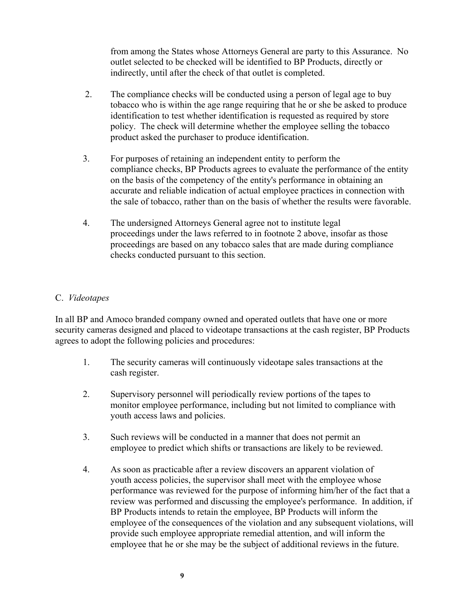from among the States whose Attorneys General are party to this Assurance. No outlet selected to be checked will be identified to BP Products, directly or indirectly, until after the check of that outlet is completed.

- 2. The compliance checks will be conducted using a person of legal age to buy tobacco who is within the age range requiring that he or she be asked to produce identification to test whether identification is requested as required by store policy. The check will determine whether the employee selling the tobacco product asked the purchaser to produce identification.
- 3. For purposes of retaining an independent entity to perform the compliance checks, BP Products agrees to evaluate the performance of the entity on the basis of the competency of the entity's performance in obtaining an accurate and reliable indication of actual employee practices in connection with the sale of tobacco, rather than on the basis of whether the results were favorable.
- 4. The undersigned Attorneys General agree not to institute legal proceedings under the laws referred to in footnote 2 above, insofar as those proceedings are based on any tobacco sales that are made during compliance checks conducted pursuant to this section.

#### C. *Videotapes*

In all BP and Amoco branded company owned and operated outlets that have one or more security cameras designed and placed to videotape transactions at the cash register, BP Products agrees to adopt the following policies and procedures:

- 1. The security cameras will continuously videotape sales transactions at the cash register.
- 2. Supervisory personnel will periodically review portions of the tapes to monitor employee performance, including but not limited to compliance with youth access laws and policies.
- 3. Such reviews will be conducted in a manner that does not permit an employee to predict which shifts or transactions are likely to be reviewed.
- 4. As soon as practicable after a review discovers an apparent violation of youth access policies, the supervisor shall meet with the employee whose performance was reviewed for the purpose of informing him/her of the fact that a review was performed and discussing the employee's performance. In addition, if BP Products intends to retain the employee, BP Products will inform the employee of the consequences of the violation and any subsequent violations, will provide such employee appropriate remedial attention, and will inform the employee that he or she may be the subject of additional reviews in the future.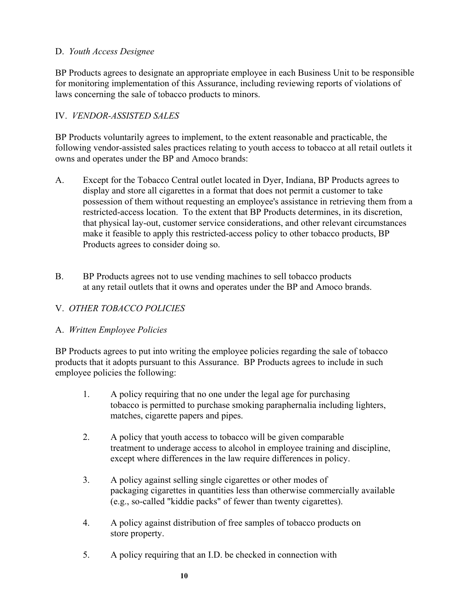#### D. *Youth Access Designee*

BP Products agrees to designate an appropriate employee in each Business Unit to be responsible for monitoring implementation of this Assurance, including reviewing reports of violations of laws concerning the sale of tobacco products to minors.

#### IV. *VENDOR-ASSISTED SALES*

BP Products voluntarily agrees to implement, to the extent reasonable and practicable, the following vendor-assisted sales practices relating to youth access to tobacco at all retail outlets it owns and operates under the BP and Amoco brands:

- A. Except for the Tobacco Central outlet located in Dyer, Indiana, BP Products agrees to display and store all cigarettes in a format that does not permit a customer to take possession of them without requesting an employee's assistance in retrieving them from a restricted-access location. To the extent that BP Products determines, in its discretion, that physical lay-out, customer service considerations, and other relevant circumstances make it feasible to apply this restricted-access policy to other tobacco products, BP Products agrees to consider doing so.
- B. BP Products agrees not to use vending machines to sell tobacco products at any retail outlets that it owns and operates under the BP and Amoco brands.

## V. *OTHER TOBACCO POLICIES*

#### A. *Written Employee Policies*

BP Products agrees to put into writing the employee policies regarding the sale of tobacco products that it adopts pursuant to this Assurance. BP Products agrees to include in such employee policies the following:

- 1. A policy requiring that no one under the legal age for purchasing tobacco is permitted to purchase smoking paraphernalia including lighters, matches, cigarette papers and pipes.
- 2. A policy that youth access to tobacco will be given comparable treatment to underage access to alcohol in employee training and discipline, except where differences in the law require differences in policy.
- 3. A policy against selling single cigarettes or other modes of packaging cigarettes in quantities less than otherwise commercially available (e.g., so-called "kiddie packs" of fewer than twenty cigarettes).
- 4. A policy against distribution of free samples of tobacco products on store property.
- 5. A policy requiring that an I.D. be checked in connection with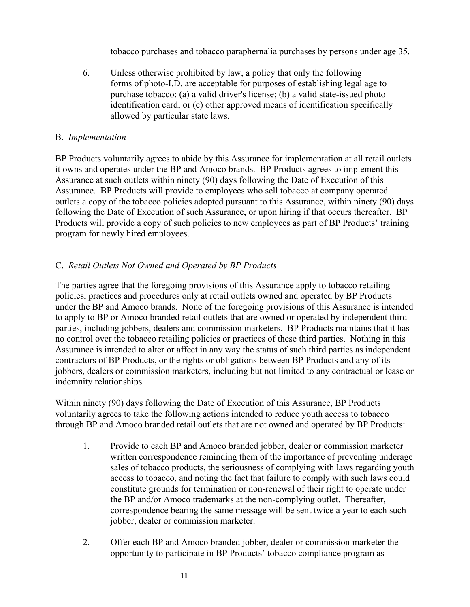tobacco purchases and tobacco paraphernalia purchases by persons under age 35.

6. Unless otherwise prohibited by law, a policy that only the following forms of photo-I.D. are acceptable for purposes of establishing legal age to purchase tobacco: (a) a valid driver's license; (b) a valid state-issued photo identification card; or (c) other approved means of identification specifically allowed by particular state laws.

#### B. *Implementation*

BP Products voluntarily agrees to abide by this Assurance for implementation at all retail outlets it owns and operates under the BP and Amoco brands. BP Products agrees to implement this Assurance at such outlets within ninety (90) days following the Date of Execution of this Assurance. BP Products will provide to employees who sell tobacco at company operated outlets a copy of the tobacco policies adopted pursuant to this Assurance, within ninety (90) days following the Date of Execution of such Assurance, or upon hiring if that occurs thereafter. BP Products will provide a copy of such policies to new employees as part of BP Products' training program for newly hired employees.

## C. *Retail Outlets Not Owned and Operated by BP Products*

The parties agree that the foregoing provisions of this Assurance apply to tobacco retailing policies, practices and procedures only at retail outlets owned and operated by BP Products under the BP and Amoco brands. None of the foregoing provisions of this Assurance is intended to apply to BP or Amoco branded retail outlets that are owned or operated by independent third parties, including jobbers, dealers and commission marketers. BP Products maintains that it has no control over the tobacco retailing policies or practices of these third parties. Nothing in this Assurance is intended to alter or affect in any way the status of such third parties as independent contractors of BP Products, or the rights or obligations between BP Products and any of its jobbers, dealers or commission marketers, including but not limited to any contractual or lease or indemnity relationships.

Within ninety (90) days following the Date of Execution of this Assurance, BP Products voluntarily agrees to take the following actions intended to reduce youth access to tobacco through BP and Amoco branded retail outlets that are not owned and operated by BP Products:

- 1. Provide to each BP and Amoco branded jobber, dealer or commission marketer written correspondence reminding them of the importance of preventing underage sales of tobacco products, the seriousness of complying with laws regarding youth access to tobacco, and noting the fact that failure to comply with such laws could constitute grounds for termination or non-renewal of their right to operate under the BP and/or Amoco trademarks at the non-complying outlet. Thereafter, correspondence bearing the same message will be sent twice a year to each such jobber, dealer or commission marketer.
- 2. Offer each BP and Amoco branded jobber, dealer or commission marketer the opportunity to participate in BP Products' tobacco compliance program as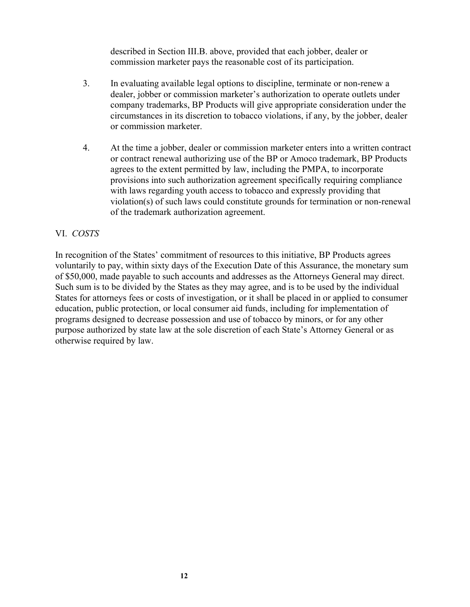described in Section III.B. above, provided that each jobber, dealer or commission marketer pays the reasonable cost of its participation.

- 3. In evaluating available legal options to discipline, terminate or non-renew a dealer, jobber or commission marketer's authorization to operate outlets under company trademarks, BP Products will give appropriate consideration under the circumstances in its discretion to tobacco violations, if any, by the jobber, dealer or commission marketer.
- 4. At the time a jobber, dealer or commission marketer enters into a written contract or contract renewal authorizing use of the BP or Amoco trademark, BP Products agrees to the extent permitted by law, including the PMPA, to incorporate provisions into such authorization agreement specifically requiring compliance with laws regarding youth access to tobacco and expressly providing that violation(s) of such laws could constitute grounds for termination or non-renewal of the trademark authorization agreement.

#### VI. *COSTS*

In recognition of the States' commitment of resources to this initiative, BP Products agrees voluntarily to pay, within sixty days of the Execution Date of this Assurance, the monetary sum of \$50,000, made payable to such accounts and addresses as the Attorneys General may direct. Such sum is to be divided by the States as they may agree, and is to be used by the individual States for attorneys fees or costs of investigation, or it shall be placed in or applied to consumer education, public protection, or local consumer aid funds, including for implementation of programs designed to decrease possession and use of tobacco by minors, or for any other purpose authorized by state law at the sole discretion of each State's Attorney General or as otherwise required by law.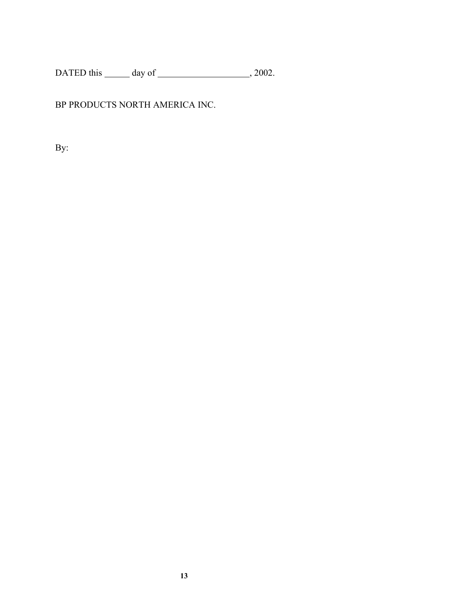DATED this  $\_\_\_\_$  day of  $\_\_\_\_\_\_$ , 2002.

## BP PRODUCTS NORTH AMERICA INC.

By: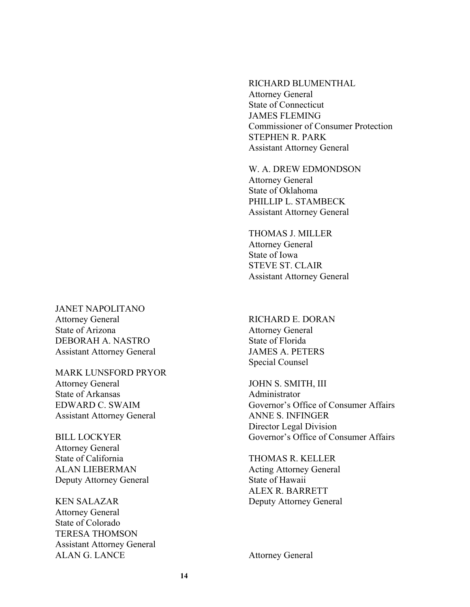RICHARD BLUMENTHAL Attorney General State of Connecticut JAMES FLEMING Commissioner of Consumer Protection STEPHEN R. PARK Assistant Attorney General

W. A. DREW EDMONDSON Attorney General State of Oklahoma PHILLIP L. STAMBECK Assistant Attorney General

THOMAS J. MILLER Attorney General State of Iowa STEVE ST. CLAIR Assistant Attorney General

JANET NAPOLITANO Attorney General State of Arizona DEBORAH A. NASTRO Assistant Attorney General

MARK LUNSFORD PRYOR Attorney General State of Arkansas EDWARD C. SWAIM Assistant Attorney General

BILL LOCKYER Attorney General State of California ALAN LIEBERMAN Deputy Attorney General

KEN SALAZAR Attorney General State of Colorado TERESA THOMSON Assistant Attorney General ALAN G. LANCE Attorney General

RICHARD E. DORAN Attorney General State of Florida JAMES A. PETERS Special Counsel

JOHN S. SMITH, III Administrator Governor's Office of Consumer Affairs ANNE S. INFINGER Director Legal Division Governor's Office of Consumer Affairs

THOMAS R. KELLER Acting Attorney General State of Hawaii ALEX R. BARRETT Deputy Attorney General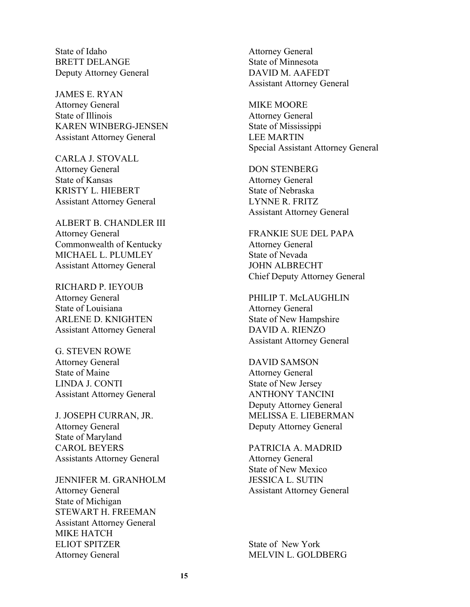State of Idaho BRETT DELANGE Deputy Attorney General

JAMES E. RYAN Attorney General State of Illinois KAREN WINBERG-JENSEN Assistant Attorney General

CARLA J. STOVALL Attorney General State of Kansas KRISTY L. HIEBERT Assistant Attorney General

ALBERT B. CHANDLER III Attorney General Commonwealth of Kentucky MICHAEL L. PLUMLEY Assistant Attorney General

RICHARD P. IEYOUB Attorney General State of Louisiana ARLENE D. KNIGHTEN Assistant Attorney General

G. STEVEN ROWE Attorney General State of Maine LINDA J. CONTI Assistant Attorney General

J. JOSEPH CURRAN, JR. Attorney General State of Maryland CAROL BEYERS Assistants Attorney General

JENNIFER M. GRANHOLM Attorney General State of Michigan STEWART H. FREEMAN Assistant Attorney General MIKE HATCH ELIOT SPITZER Attorney General

Attorney General State of Minnesota DAVID M. AAFEDT Assistant Attorney General

MIKE MOORE Attorney General State of Mississippi LEE MARTIN Special Assistant Attorney General

DON STENBERG Attorney General State of Nebraska LYNNE R. FRITZ Assistant Attorney General

FRANKIE SUE DEL PAPA Attorney General State of Nevada JOHN ALBRECHT Chief Deputy Attorney General

PHILIP T. McLAUGHLIN Attorney General State of New Hampshire DAVID A. RIENZO Assistant Attorney General

DAVID SAMSON Attorney General State of New Jersey ANTHONY TANCINI Deputy Attorney General MELISSA E. LIEBERMAN Deputy Attorney General

PATRICIA A. MADRID Attorney General State of New Mexico JESSICA L. SUTIN Assistant Attorney General

State of New York MELVIN L. GOLDBERG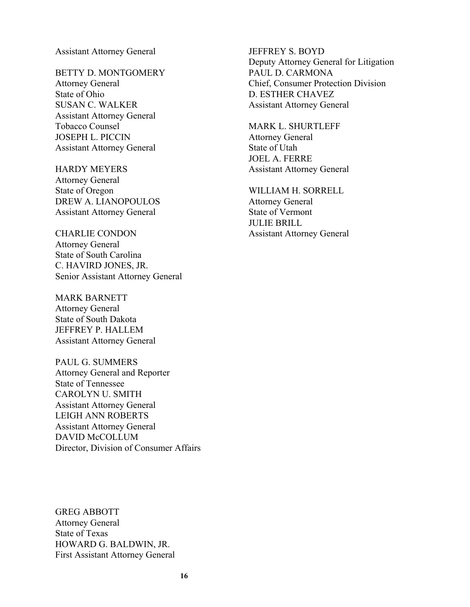Assistant Attorney General

BETTY D. MONTGOMERY Attorney General State of Ohio SUSAN C. WALKER Assistant Attorney General Tobacco Counsel JOSEPH L. PICCIN Assistant Attorney General

HARDY MEYERS Attorney General State of Oregon DREW A. LIANOPOULOS Assistant Attorney General

CHARLIE CONDON Attorney General State of South Carolina C. HAVIRD JONES, JR. Senior Assistant Attorney General

MARK BARNETT Attorney General State of South Dakota JEFFREY P. HALLEM Assistant Attorney General

PAUL G. SUMMERS Attorney General and Reporter State of Tennessee CAROLYN U. SMITH Assistant Attorney General LEIGH ANN ROBERTS Assistant Attorney General DAVID McCOLLUM Director, Division of Consumer Affairs

JEFFREY S. BOYD Deputy Attorney General for Litigation PAUL D. CARMONA Chief, Consumer Protection Division D. ESTHER CHAVEZ Assistant Attorney General

MARK L. SHURTLEFF Attorney General State of Utah JOEL A. FERRE Assistant Attorney General

WILLIAM H. SORRELL Attorney General State of Vermont JULIE BRILL Assistant Attorney General

GREG ABBOTT Attorney General State of Texas HOWARD G. BALDWIN, JR. First Assistant Attorney General